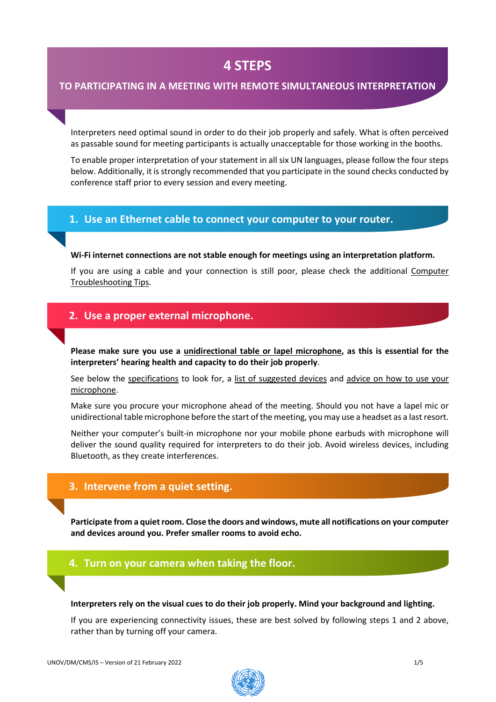# **4 STEPS**

### **TO PARTICIPATING IN A MEETING WITH REMOTE SIMULTANEOUS INTERPRETATION**

Interpreters need optimal sound in order to do their job properly and safely. What is often perceived as passable sound for meeting participants is actually unacceptable for those working in the booths.

To enable proper interpretation of your statement in all six UN languages, please follow the four steps below. Additionally, it is strongly recommended that you participate in the sound checks conducted by conference staff prior to every session and every meeting.

### **1. Use an Ethernet cable to connect your computer to your router.**

#### **Wi-Fi internet connections are not stable enough for meetings using an interpretation platform.**

If you are using a cable and your connection is still poor, please check the additional [Computer](#page-3-0) [Troubleshooting](#page-3-0) Tips.

### **2. Use a proper external microphone.**

**Please make sure you use a unidirectional table or lapel microphone, as this is essential for the interpreters' hearing health and capacity to do their job properly**.

See below the specifications to look for, a list of suggested devices and advice on how to use your microphone.

Make sure you procure your microphone ahead of the meeting. Should you not have a lapel mic or unidirectional table microphone before the start of the meeting, you may use a headset as a lastresort.

Neither your computer's built-in microphone nor your mobile phone earbuds with microphone will deliver the sound quality required for interpreters to do their job. Avoid wireless devices, including Bluetooth, as they create interferences.

### **3. Intervene from a quiet setting.**

**Participate from a quietroom. Close the doors and windows, mute all notifications on your computer and devices around you. Prefer smaller rooms to avoid echo.**

#### **4. Turn on your camera when taking the floor.**

#### **Interpreters rely on the visual cues to do their job properly. Mind your background and lighting.**

If you are experiencing connectivity issues, these are best solved by following steps 1 and 2 above, rather than by turning off your camera.

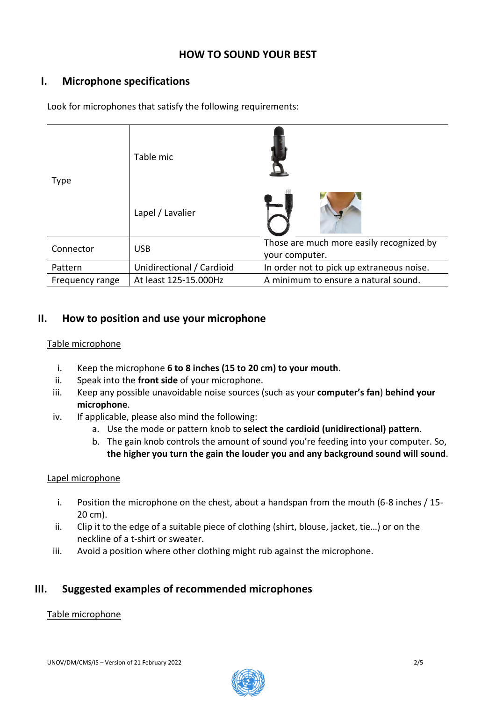## **HOW TO SOUND YOUR BEST**

# **I. Microphone specifications**

| <b>Type</b>     | Table mic                 |                                                            |
|-----------------|---------------------------|------------------------------------------------------------|
|                 | Lapel / Lavalier          |                                                            |
| Connector       | <b>USB</b>                | Those are much more easily recognized by<br>your computer. |
| Pattern         | Unidirectional / Cardioid | In order not to pick up extraneous noise.                  |
| Frequency range | At least 125-15.000Hz     | A minimum to ensure a natural sound.                       |

Look for microphones that satisfy the following requirements:

### **II. How to position and use your microphone**

### Table microphone

- i. Keep the microphone **6 to 8 inches (15 to 20 cm) to your mouth**.
- ii. Speak into the **front side** of your microphone.
- iii. Keep any possible unavoidable noise sources (such as your **computer's fan**) **behind your microphone**.
- iv. If applicable, please also mind the following:
	- a. Use the mode or pattern knob to **select the cardioid (unidirectional) pattern**.
	- b. The gain knob controls the amount of sound you're feeding into your computer. So, **the higher you turn the gain the louder you and any background sound will sound**.

### Lapel microphone

- i. Position the microphone on the chest, about a handspan from the mouth (6-8 inches / 15- 20 cm).
- ii. Clip it to the edge of a suitable piece of clothing (shirt, blouse, jacket, tie…) or on the neckline of a t-shirt or sweater.
- iii. Avoid a position where other clothing might rub against the microphone.

## **III. Suggested examples of recommended microphones**

#### Table microphone

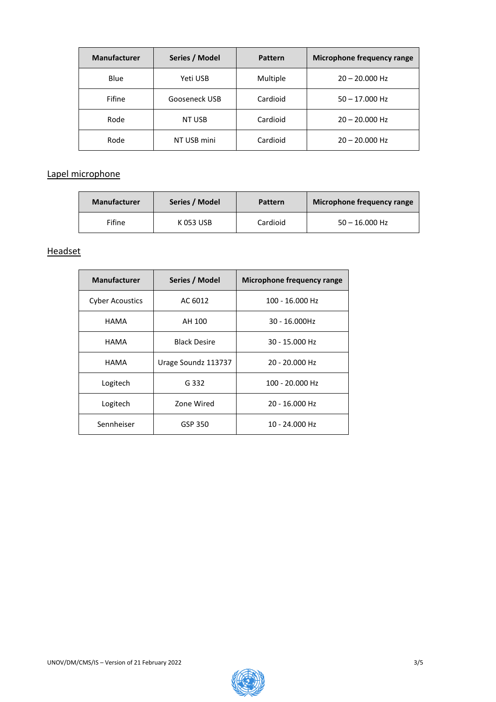| <b>Manufacturer</b> | Series / Model | <b>Pattern</b> | Microphone frequency range |
|---------------------|----------------|----------------|----------------------------|
| Blue                | Yeti USB       | Multiple       | $20 - 20.000$ Hz           |
| Fifine              | Gooseneck USB  | Cardioid       | $50 - 17.000$ Hz           |
| Rode                | NT USB         | Cardioid       | $20 - 20.000$ Hz           |
| Rode                | NT USB mini    | Cardioid       | $20 - 20.000$ Hz           |

### Lapel microphone

| <b>Manufacturer</b> | Series / Model | Pattern  | Microphone frequency range |
|---------------------|----------------|----------|----------------------------|
| Fifine              | K 053 USB      | Cardioid | $50 - 16,000$ Hz           |

### **Headset**

| <b>Manufacturer</b>    | Series / Model      | Microphone frequency range |  |
|------------------------|---------------------|----------------------------|--|
| <b>Cyber Acoustics</b> | AC 6012             | 100 - 16.000 Hz            |  |
| <b>HAMA</b>            | AH 100              | 30 - 16.000Hz              |  |
| <b>HAMA</b>            | <b>Black Desire</b> | 30 - 15.000 Hz             |  |
| <b>HAMA</b>            | Urage Soundz 113737 | 20 - 20.000 Hz             |  |
| Logitech               | G 332               | 100 - 20.000 Hz            |  |
| Logitech               | Zone Wired          | 20 - 16.000 Hz             |  |
| Sennheiser             | GSP 350             | 10 - 24.000 Hz             |  |

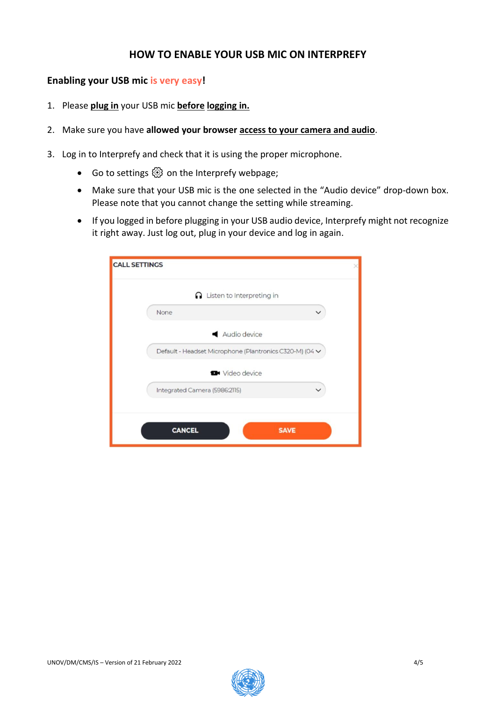## **HOW TO ENABLE YOUR USB MIC ON INTERPREFY**

### <span id="page-3-0"></span>**Enabling your USB mic is very easy!**

- 1. Please **plug in** your USB mic **before logging in.**
- 2. Make sure you have **allowed your browser access to your camera and audio**.
- 3. Log in to Interprefy and check that it is using the proper microphone.
	- Go to settings  $\circledS$  on the Interprefy webpage;
	- Make sure that your USB mic is the one selected in the "Audio device" drop-down box. Please note that you cannot change the setting while streaming.
	- If you logged in before plugging in your USB audio device, Interprefy might not recognize it right away. Just log out, plug in your device and log in again.

| $\Omega$ Listen to Interpreting in                      |  |
|---------------------------------------------------------|--|
| None                                                    |  |
| Audio device                                            |  |
| Default - Headset Microphone (Plantronics C320-M) (04 V |  |
| <b>D</b> <sup>4</sup> Video device                      |  |
| Integrated Camera (5986:2115)                           |  |
|                                                         |  |